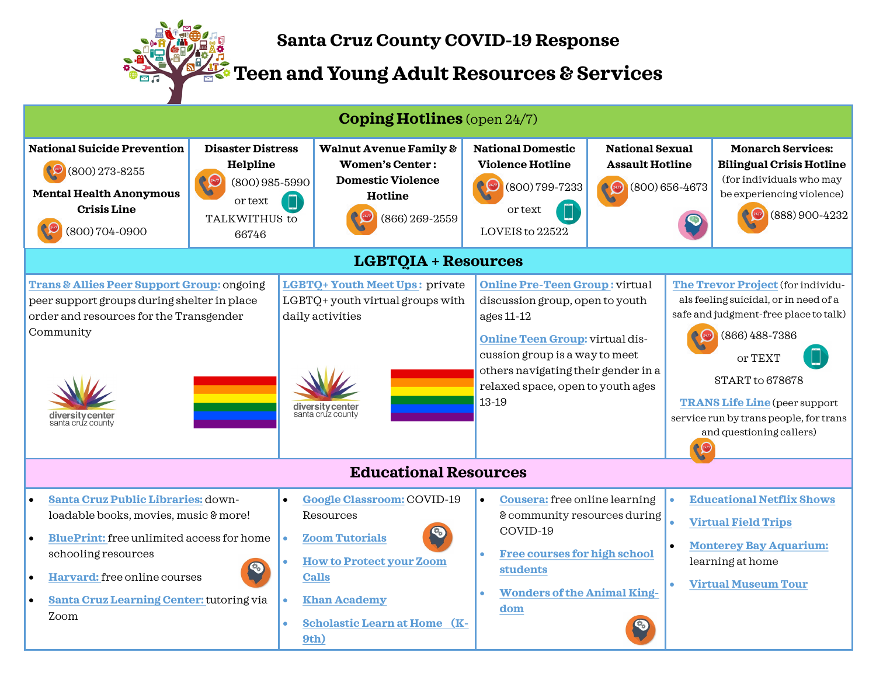

## **Santa Cruz County COVID-19 Response**

**Teen and Young Adult Resources & Services**